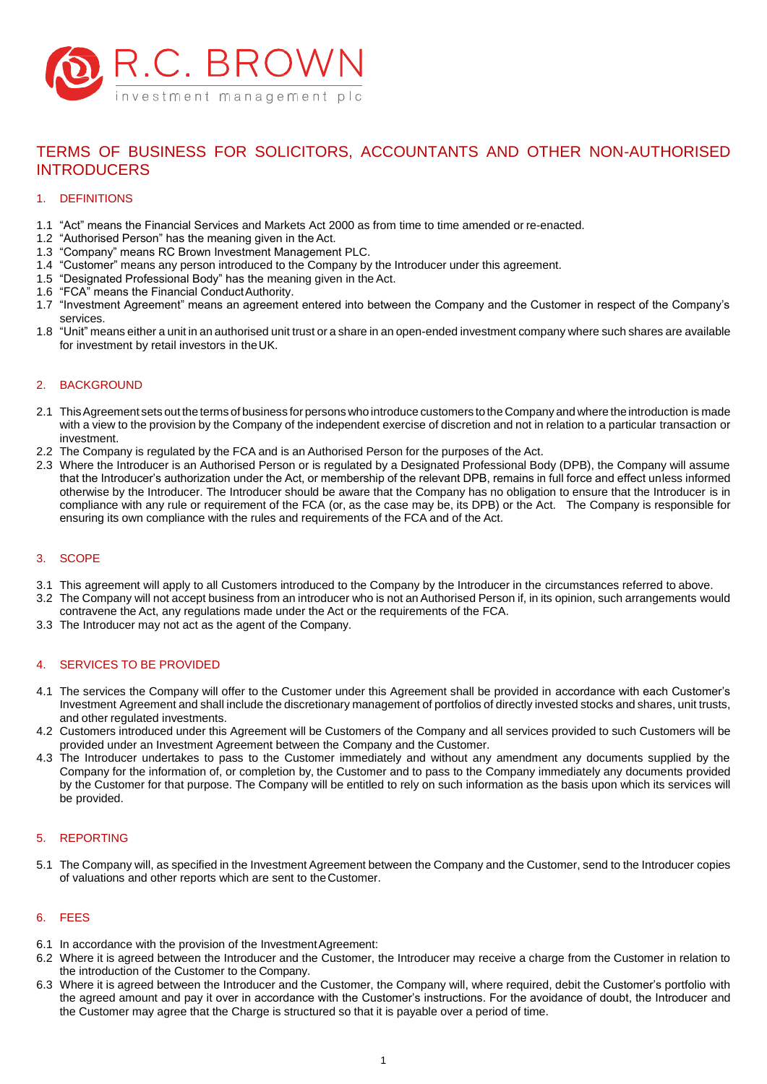

# TERMS OF BUSINESS FOR SOLICITORS, ACCOUNTANTS AND OTHER NON-AUTHORISED INTRODUCERS

## 1. DEFINITIONS

- 1.1 "Act" means the Financial Services and Markets Act 2000 as from time to time amended or re-enacted.
- 1.2 "Authorised Person" has the meaning given in the Act.
- 1.3 "Company" means RC Brown Investment Management PLC.
- 1.4 "Customer" means any person introduced to the Company by the Introducer under this agreement.
- 1.5 "Designated Professional Body" has the meaning given in the Act.
- 1.6 "FCA" means the Financial ConductAuthority.
- 1.7 "Investment Agreement" means an agreement entered into between the Company and the Customer in respect of the Company's services.
- 1.8 "Unit" means either a unit in an authorised unit trust or a share in an open-ended investment company where such shares are available for investment by retail investors in theUK.

## 2. BACKGROUND

- 2.1 ThisAgreement sets out the terms of business for persons who introduce customers to the Company and where the introduction is made with a view to the provision by the Company of the independent exercise of discretion and not in relation to a particular transaction or investment.
- 2.2 The Company is regulated by the FCA and is an Authorised Person for the purposes of the Act.
- 2.3 Where the Introducer is an Authorised Person or is regulated by a Designated Professional Body (DPB), the Company will assume that the Introducer's authorization under the Act, or membership of the relevant DPB, remains in full force and effect unless informed otherwise by the Introducer. The Introducer should be aware that the Company has no obligation to ensure that the Introducer is in compliance with any rule or requirement of the FCA (or, as the case may be, its DPB) or the Act. The Company is responsible for ensuring its own compliance with the rules and requirements of the FCA and of the Act.

## 3. SCOPE

- 3.1 This agreement will apply to all Customers introduced to the Company by the Introducer in the circumstances referred to above.
- 3.2 The Company will not accept business from an introducer who is not an Authorised Person if, in its opinion, such arrangements would contravene the Act, any regulations made under the Act or the requirements of the FCA.
- 3.3 The Introducer may not act as the agent of the Company.

## 4. SERVICES TO BE PROVIDED

- 4.1 The services the Company will offer to the Customer under this Agreement shall be provided in accordance with each Customer's Investment Agreement and shall include the discretionary management of portfolios of directly invested stocks and shares, unit trusts, and other regulated investments.
- 4.2 Customers introduced under this Agreement will be Customers of the Company and all services provided to such Customers will be provided under an Investment Agreement between the Company and the Customer.
- 4.3 The Introducer undertakes to pass to the Customer immediately and without any amendment any documents supplied by the Company for the information of, or completion by, the Customer and to pass to the Company immediately any documents provided by the Customer for that purpose. The Company will be entitled to rely on such information as the basis upon which its services will be provided.

#### 5. REPORTING

5.1 The Company will, as specified in the Investment Agreement between the Company and the Customer, send to the Introducer copies of valuations and other reports which are sent to theCustomer.

#### 6. FEES

- 6.1 In accordance with the provision of the Investment Agreement:
- 6.2 Where it is agreed between the Introducer and the Customer, the Introducer may receive a charge from the Customer in relation to the introduction of the Customer to the Company.
- 6.3 Where it is agreed between the Introducer and the Customer, the Company will, where required, debit the Customer's portfolio with the agreed amount and pay it over in accordance with the Customer's instructions. For the avoidance of doubt, the Introducer and the Customer may agree that the Charge is structured so that it is payable over a period of time.